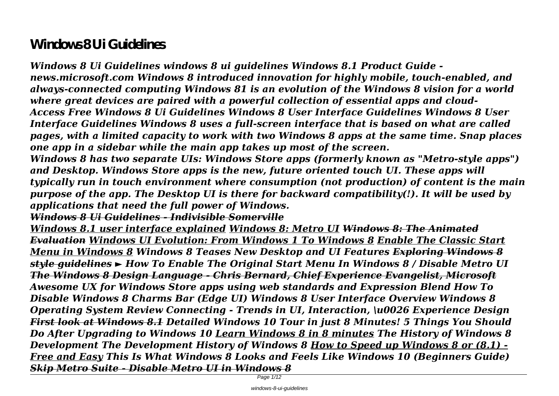# **Windows 8 Ui Guidelines**

*Windows 8 Ui Guidelines windows 8 ui guidelines Windows 8.1 Product Guide news.microsoft.com Windows 8 introduced innovation for highly mobile, touch-enabled, and always-connected computing Windows 81 is an evolution of the Windows 8 vision for a world where great devices are paired with a powerful collection of essential apps and cloud-Access Free Windows 8 Ui Guidelines Windows 8 User Interface Guidelines Windows 8 User Interface Guidelines Windows 8 uses a full-screen interface that is based on what are called pages, with a limited capacity to work with two Windows 8 apps at the same time. Snap places one app in a sidebar while the main app takes up most of the screen.*

*Windows 8 has two separate UIs: Windows Store apps (formerly known as "Metro-style apps") and Desktop. Windows Store apps is the new, future oriented touch UI. These apps will typically run in touch environment where consumption (not production) of content is the main purpose of the app. The Desktop UI is there for backward compatibility(!). It will be used by applications that need the full power of Windows.*

*Windows 8 Ui Guidelines - Indivisible Somerville*

*Windows 8.1 user interface explained Windows 8: Metro UI Windows 8: The Animated Evaluation Windows UI Evolution: From Windows 1 To Windows 8 Enable The Classic Start Menu in Windows 8 Windows 8 Teases New Desktop and UI Features Exploring Windows 8 style guidelines ► How To Enable The Original Start Menu In Windows 8 / Disable Metro UI The Windows 8 Design Language - Chris Bernard, Chief Experience Evangelist, Microsoft Awesome UX for Windows Store apps using web standards and Expression Blend How To Disable Windows 8 Charms Bar (Edge UI) Windows 8 User Interface Overview Windows 8 Operating System Review Connecting - Trends in UI, Interaction, \u0026 Experience Design First look at Windows 8.1 Detailed Windows 10 Tour in just 8 Minutes! 5 Things You Should Do After Upgrading to Windows 10 Learn Windows 8 in 8 minutes The History of Windows 8 Development The Development History of Windows 8 How to Speed up Windows 8 or (8.1) - Free and Easy This Is What Windows 8 Looks and Feels Like Windows 10 (Beginners Guide) Skip Metro Suite - Disable Metro UI in Windows 8*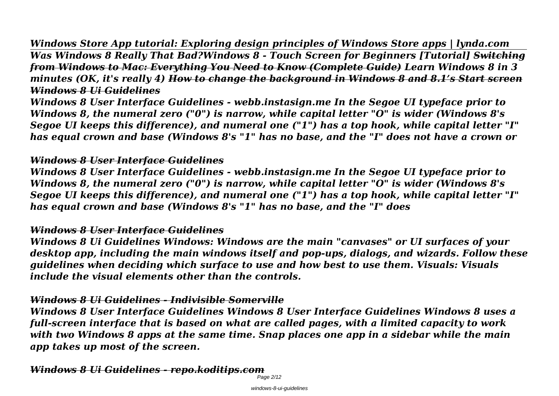*Windows Store App tutorial: Exploring design principles of Windows Store apps | lynda.com Was Windows 8 Really That Bad?Windows 8 - Touch Screen for Beginners [Tutorial] Switching from Windows to Mac: Everything You Need to Know (Complete Guide) Learn Windows 8 in 3 minutes (OK, it's really 4) How to change the background in Windows 8 and 8.1's Start screen Windows 8 Ui Guidelines*

*Windows 8 User Interface Guidelines - webb.instasign.me In the Segoe UI typeface prior to Windows 8, the numeral zero ("0") is narrow, while capital letter "O" is wider (Windows 8's Segoe UI keeps this difference), and numeral one ("1") has a top hook, while capital letter "I" has equal crown and base (Windows 8's "1" has no base, and the "I" does not have a crown or*

#### *Windows 8 User Interface Guidelines*

*Windows 8 User Interface Guidelines - webb.instasign.me In the Segoe UI typeface prior to Windows 8, the numeral zero ("0") is narrow, while capital letter "O" is wider (Windows 8's Segoe UI keeps this difference), and numeral one ("1") has a top hook, while capital letter "I" has equal crown and base (Windows 8's "1" has no base, and the "I" does*

#### *Windows 8 User Interface Guidelines*

*Windows 8 Ui Guidelines Windows: Windows are the main "canvases" or UI surfaces of your desktop app, including the main windows itself and pop-ups, dialogs, and wizards. Follow these guidelines when deciding which surface to use and how best to use them. Visuals: Visuals include the visual elements other than the controls.*

## *Windows 8 Ui Guidelines - Indivisible Somerville*

*Windows 8 User Interface Guidelines Windows 8 User Interface Guidelines Windows 8 uses a full-screen interface that is based on what are called pages, with a limited capacity to work with two Windows 8 apps at the same time. Snap places one app in a sidebar while the main app takes up most of the screen.*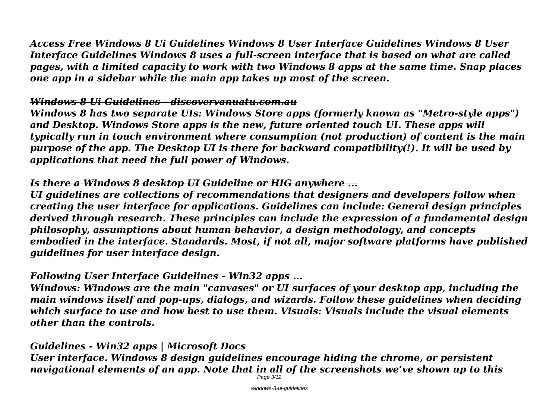*Access Free Windows 8 Ui Guidelines Windows 8 User Interface Guidelines Windows 8 User Interface Guidelines Windows 8 uses a full-screen interface that is based on what are called pages, with a limited capacity to work with two Windows 8 apps at the same time. Snap places one app in a sidebar while the main app takes up most of the screen.*

## *Windows 8 Ui Guidelines - discovervanuatu.com.au*

*Windows 8 has two separate UIs: Windows Store apps (formerly known as "Metro-style apps") and Desktop. Windows Store apps is the new, future oriented touch UI. These apps will typically run in touch environment where consumption (not production) of content is the main purpose of the app. The Desktop UI is there for backward compatibility(!). It will be used by applications that need the full power of Windows.*

# *Is there a Windows 8 desktop UI Guideline or HIG anywhere ...*

*UI guidelines are collections of recommendations that designers and developers follow when creating the user interface for applications. Guidelines can include: General design principles derived through research. These principles can include the expression of a fundamental design philosophy, assumptions about human behavior, a design methodology, and concepts embodied in the interface. Standards. Most, if not all, major software platforms have published guidelines for user interface design.*

# *Following User Interface Guidelines - Win32 apps ...*

*Windows: Windows are the main "canvases" or UI surfaces of your desktop app, including the main windows itself and pop-ups, dialogs, and wizards. Follow these guidelines when deciding which surface to use and how best to use them. Visuals: Visuals include the visual elements other than the controls.*

# *Guidelines - Win32 apps | Microsoft Docs*

*User interface. Windows 8 design guidelines encourage hiding the chrome, or persistent navigational elements of an app. Note that in all of the screenshots we've shown up to this*

Page 3/12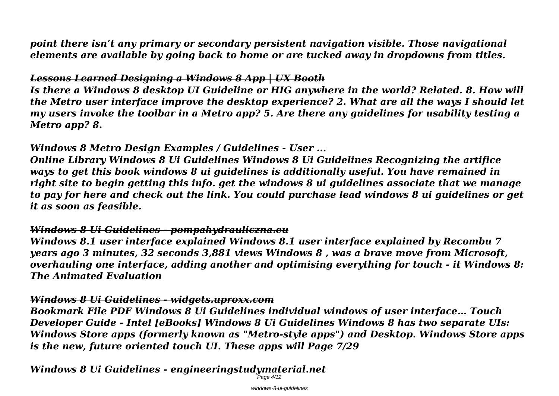*point there isn't any primary or secondary persistent navigation visible. Those navigational elements are available by going back to home or are tucked away in dropdowns from titles.*

# *Lessons Learned Designing a Windows 8 App | UX Booth*

*Is there a Windows 8 desktop UI Guideline or HIG anywhere in the world? Related. 8. How will the Metro user interface improve the desktop experience? 2. What are all the ways I should let my users invoke the toolbar in a Metro app? 5. Are there any guidelines for usability testing a Metro app? 8.*

## *Windows 8 Metro Design Examples / Guidelines - User ...*

*Online Library Windows 8 Ui Guidelines Windows 8 Ui Guidelines Recognizing the artifice ways to get this book windows 8 ui guidelines is additionally useful. You have remained in right site to begin getting this info. get the windows 8 ui guidelines associate that we manage to pay for here and check out the link. You could purchase lead windows 8 ui guidelines or get it as soon as feasible.*

## *Windows 8 Ui Guidelines - pompahydrauliczna.eu*

*Windows 8.1 user interface explained Windows 8.1 user interface explained by Recombu 7 years ago 3 minutes, 32 seconds 3,881 views Windows 8 , was a brave move from Microsoft, overhauling one interface, adding another and optimising everything for touch - it Windows 8: The Animated Evaluation*

## *Windows 8 Ui Guidelines - widgets.uproxx.com*

*Bookmark File PDF Windows 8 Ui Guidelines individual windows of user interface… Touch Developer Guide - Intel [eBooks] Windows 8 Ui Guidelines Windows 8 has two separate UIs: Windows Store apps (formerly known as "Metro-style apps") and Desktop. Windows Store apps is the new, future oriented touch UI. These apps will Page 7/29*

*Windows 8 Ui Guidelines - engineeringstudymaterial.net*

 $P$ age 4/12

windows-8-ui-guidelines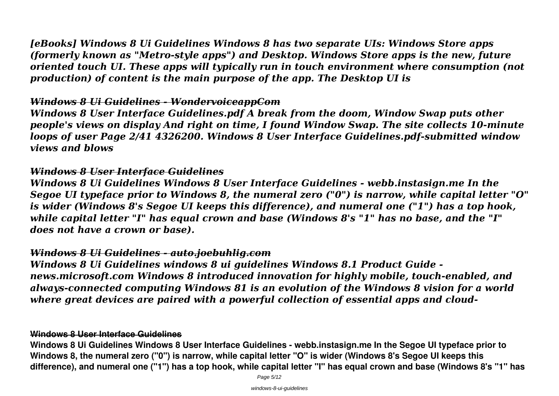*[eBooks] Windows 8 Ui Guidelines Windows 8 has two separate UIs: Windows Store apps (formerly known as "Metro-style apps") and Desktop. Windows Store apps is the new, future oriented touch UI. These apps will typically run in touch environment where consumption (not production) of content is the main purpose of the app. The Desktop UI is*

#### *Windows 8 Ui Guidelines - WondervoiceappCom*

*Windows 8 User Interface Guidelines.pdf A break from the doom, Window Swap puts other people's views on display And right on time, I found Window Swap. The site collects 10-minute loops of user Page 2/41 4326200. Windows 8 User Interface Guidelines.pdf-submitted window views and blows*

#### *Windows 8 User Interface Guidelines*

*Windows 8 Ui Guidelines Windows 8 User Interface Guidelines - webb.instasign.me In the Segoe UI typeface prior to Windows 8, the numeral zero ("0") is narrow, while capital letter "O" is wider (Windows 8's Segoe UI keeps this difference), and numeral one ("1") has a top hook, while capital letter "I" has equal crown and base (Windows 8's "1" has no base, and the "I" does not have a crown or base).*

#### *Windows 8 Ui Guidelines - auto.joebuhlig.com*

*Windows 8 Ui Guidelines windows 8 ui guidelines Windows 8.1 Product Guide news.microsoft.com Windows 8 introduced innovation for highly mobile, touch-enabled, and always-connected computing Windows 81 is an evolution of the Windows 8 vision for a world where great devices are paired with a powerful collection of essential apps and cloud-*

#### **Windows 8 User Interface Guidelines**

**Windows 8 Ui Guidelines Windows 8 User Interface Guidelines - webb.instasign.me In the Segoe UI typeface prior to Windows 8, the numeral zero ("0") is narrow, while capital letter "O" is wider (Windows 8's Segoe UI keeps this difference), and numeral one ("1") has a top hook, while capital letter "I" has equal crown and base (Windows 8's "1" has**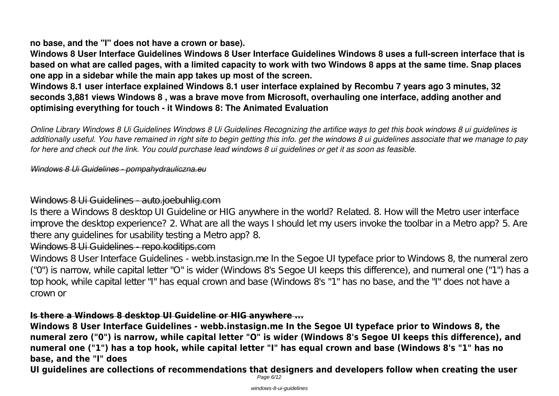#### **no base, and the "I" does not have a crown or base).**

**Windows 8 User Interface Guidelines Windows 8 User Interface Guidelines Windows 8 uses a full-screen interface that is based on what are called pages, with a limited capacity to work with two Windows 8 apps at the same time. Snap places one app in a sidebar while the main app takes up most of the screen.**

**Windows 8.1 user interface explained Windows 8.1 user interface explained by Recombu 7 years ago 3 minutes, 32 seconds 3,881 views Windows 8 , was a brave move from Microsoft, overhauling one interface, adding another and optimising everything for touch - it Windows 8: The Animated Evaluation**

*Online Library Windows 8 Ui Guidelines Windows 8 Ui Guidelines Recognizing the artifice ways to get this book windows 8 ui guidelines is additionally useful. You have remained in right site to begin getting this info. get the windows 8 ui guidelines associate that we manage to pay for here and check out the link. You could purchase lead windows 8 ui guidelines or get it as soon as feasible.*

#### *Windows 8 Ui Guidelines - pompahydrauliczna.eu*

#### Windows 8 Ui Guidelines auto.joebuhlig.com

Is there a Windows 8 desktop UI Guideline or HIG anywhere in the world? Related. 8. How will the Metro user interface improve the desktop experience? 2. What are all the ways I should let my users invoke the toolbar in a Metro app? 5. Are there any guidelines for usability testing a Metro app? 8.

## Windows 8 Ui Guidelines - repo.koditips.com

Windows 8 User Interface Guidelines - webb.instasign.me In the Segoe UI typeface prior to Windows 8, the numeral zero ("0") is narrow, while capital letter "O" is wider (Windows 8's Segoe UI keeps this difference), and numeral one ("1") has a top hook, while capital letter "I" has equal crown and base (Windows 8's "1" has no base, and the "I" does not have a crown or

#### **Is there a Windows 8 desktop UI Guideline or HIG anywhere ...**

**Windows 8 User Interface Guidelines - webb.instasign.me In the Segoe UI typeface prior to Windows 8, the numeral zero ("0") is narrow, while capital letter "O" is wider (Windows 8's Segoe UI keeps this difference), and numeral one ("1") has a top hook, while capital letter "I" has equal crown and base (Windows 8's "1" has no base, and the "I" does**

**UI guidelines are collections of recommendations that designers and developers follow when creating the user** Page 6/12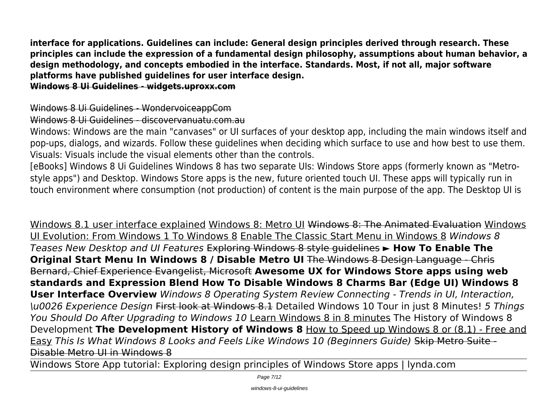**interface for applications. Guidelines can include: General design principles derived through research. These principles can include the expression of a fundamental design philosophy, assumptions about human behavior, a design methodology, and concepts embodied in the interface. Standards. Most, if not all, major software platforms have published guidelines for user interface design.**

**Windows 8 Ui Guidelines - widgets.uproxx.com**

Windows 8 Ui Guidelines - WondervoiceappCom

Windows 8 Ui Guidelines - discovervanuatu.com.au

Windows: Windows are the main "canvases" or UI surfaces of your desktop app, including the main windows itself and pop-ups, dialogs, and wizards. Follow these guidelines when deciding which surface to use and how best to use them. Visuals: Visuals include the visual elements other than the controls.

[eBooks] Windows 8 Ui Guidelines Windows 8 has two separate UIs: Windows Store apps (formerly known as "Metrostyle apps") and Desktop. Windows Store apps is the new, future oriented touch UI. These apps will typically run in touch environment where consumption (not production) of content is the main purpose of the app. The Desktop UI is

Windows 8.1 user interface explained Windows 8: Metro UI Windows 8: The Animated Evaluation Windows UI Evolution: From Windows 1 To Windows 8 Enable The Classic Start Menu in Windows 8 *Windows 8 Teases New Desktop and UI Features* Exploring Windows 8 style guidelines **► How To Enable The Original Start Menu In Windows 8 / Disable Metro UI** The Windows 8 Design Language - Chris Bernard, Chief Experience Evangelist, Microsoft **Awesome UX for Windows Store apps using web standards and Expression Blend How To Disable Windows 8 Charms Bar (Edge UI) Windows 8 User Interface Overview** *Windows 8 Operating System Review Connecting - Trends in UI, Interaction, \u0026 Experience Design* First look at Windows 8.1 Detailed Windows 10 Tour in just 8 Minutes! *5 Things You Should Do After Upgrading to Windows 10* Learn Windows 8 in 8 minutes The History of Windows 8 Development **The Development History of Windows 8** How to Speed up Windows 8 or (8.1) - Free and Easy *This Is What Windows 8 Looks and Feels Like Windows 10 (Beginners Guide)* Skip Metro Suite - Disable Metro UI in Windows 8

Windows Store App tutorial: Exploring design principles of Windows Store apps | lynda.com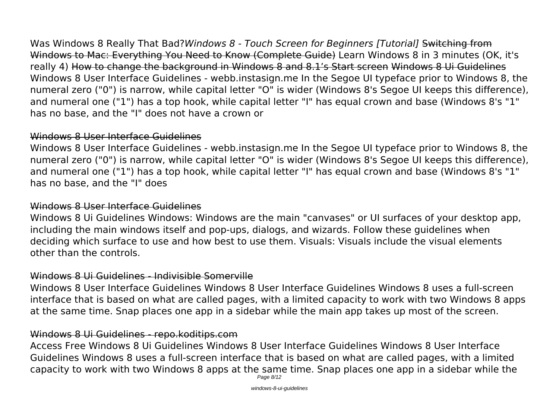Was Windows 8 Really That Bad?*Windows 8 - Touch Screen for Beginners [Tutorial]* Switching from Windows to Mac: Everything You Need to Know (Complete Guide) Learn Windows 8 in 3 minutes (OK, it's really 4) How to change the background in Windows 8 and 8.1's Start screen Windows 8 Ui Guidelines Windows 8 User Interface Guidelines - webb.instasign.me In the Segoe UI typeface prior to Windows 8, the numeral zero ("0") is narrow, while capital letter "O" is wider (Windows 8's Segoe UI keeps this difference), and numeral one ("1") has a top hook, while capital letter "I" has equal crown and base (Windows 8's "1" has no base, and the "I" does not have a crown or

#### Windows 8 User Interface Guidelines

Windows 8 User Interface Guidelines - webb.instasign.me In the Segoe UI typeface prior to Windows 8, the numeral zero ("0") is narrow, while capital letter "O" is wider (Windows 8's Segoe UI keeps this difference), and numeral one ("1") has a top hook, while capital letter "I" has equal crown and base (Windows 8's "1" has no base, and the "I" does

#### Windows 8 User Interface Guidelines

Windows 8 Ui Guidelines Windows: Windows are the main "canvases" or UI surfaces of your desktop app, including the main windows itself and pop-ups, dialogs, and wizards. Follow these guidelines when deciding which surface to use and how best to use them. Visuals: Visuals include the visual elements other than the controls.

## Windows 8 Ui Guidelines - Indivisible Somerville

Windows 8 User Interface Guidelines Windows 8 User Interface Guidelines Windows 8 uses a full-screen interface that is based on what are called pages, with a limited capacity to work with two Windows 8 apps at the same time. Snap places one app in a sidebar while the main app takes up most of the screen.

## Windows 8 Ui Guidelines - repo.koditips.com

Access Free Windows 8 Ui Guidelines Windows 8 User Interface Guidelines Windows 8 User Interface Guidelines Windows 8 uses a full-screen interface that is based on what are called pages, with a limited capacity to work with two Windows 8 apps at the same time. Snap places one app in a sidebar while the Page 8/12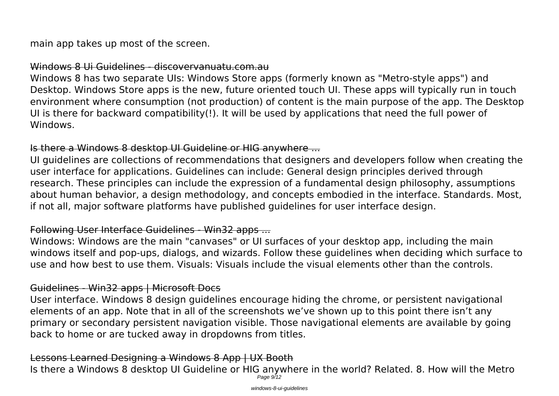main app takes up most of the screen.

#### Windows 8 Ui Guidelines - discovervanuatu.com.au

Windows 8 has two separate UIs: Windows Store apps (formerly known as "Metro-style apps") and Desktop. Windows Store apps is the new, future oriented touch UI. These apps will typically run in touch environment where consumption (not production) of content is the main purpose of the app. The Desktop UI is there for backward compatibility(!). It will be used by applications that need the full power of Windows.

#### Is there a Windows 8 desktop UI Guideline or HIG anywhere ...

UI guidelines are collections of recommendations that designers and developers follow when creating the user interface for applications. Guidelines can include: General design principles derived through research. These principles can include the expression of a fundamental design philosophy, assumptions about human behavior, a design methodology, and concepts embodied in the interface. Standards. Most, if not all, major software platforms have published guidelines for user interface design.

#### Following User Interface Guidelines - Win32 apps ...

Windows: Windows are the main "canvases" or UI surfaces of your desktop app, including the main windows itself and pop-ups, dialogs, and wizards. Follow these guidelines when deciding which surface to use and how best to use them. Visuals: Visuals include the visual elements other than the controls.

#### Guidelines - Win32 apps | Microsoft Docs

User interface. Windows 8 design guidelines encourage hiding the chrome, or persistent navigational elements of an app. Note that in all of the screenshots we've shown up to this point there isn't any primary or secondary persistent navigation visible. Those navigational elements are available by going back to home or are tucked away in dropdowns from titles.

# Lessons Learned Designing a Windows 8 App | UX Booth

Is there a Windows 8 desktop UI Guideline or HIG anywhere in the world? Related. 8. How will the Metro Page 9/12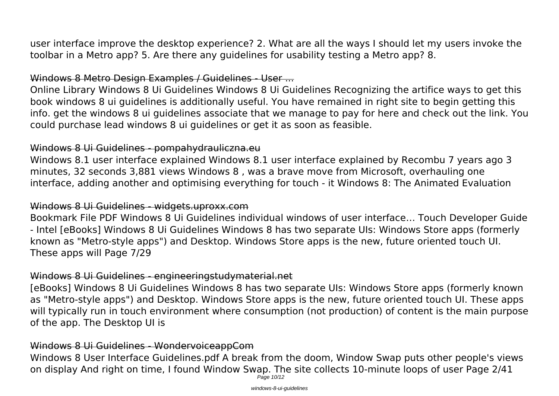user interface improve the desktop experience? 2. What are all the ways I should let my users invoke the toolbar in a Metro app? 5. Are there any guidelines for usability testing a Metro app? 8.

## Windows 8 Metro Design Examples / Guidelines - User ...

Online Library Windows 8 Ui Guidelines Windows 8 Ui Guidelines Recognizing the artifice ways to get this book windows 8 ui guidelines is additionally useful. You have remained in right site to begin getting this info. get the windows 8 ui guidelines associate that we manage to pay for here and check out the link. You could purchase lead windows 8 ui guidelines or get it as soon as feasible.

## Windows 8 Ui Guidelines - pompahydrauliczna.eu

Windows 8.1 user interface explained Windows 8.1 user interface explained by Recombu 7 years ago 3 minutes, 32 seconds 3,881 views Windows 8 , was a brave move from Microsoft, overhauling one interface, adding another and optimising everything for touch - it Windows 8: The Animated Evaluation

## Windows 8 Ui Guidelines - widgets.uproxx.com

Bookmark File PDF Windows 8 Ui Guidelines individual windows of user interface… Touch Developer Guide - Intel [eBooks] Windows 8 Ui Guidelines Windows 8 has two separate UIs: Windows Store apps (formerly known as "Metro-style apps") and Desktop. Windows Store apps is the new, future oriented touch UI. These apps will Page 7/29

# Windows 8 Ui Guidelines - engineeringstudymaterial.net

[eBooks] Windows 8 Ui Guidelines Windows 8 has two separate UIs: Windows Store apps (formerly known as "Metro-style apps") and Desktop. Windows Store apps is the new, future oriented touch UI. These apps will typically run in touch environment where consumption (not production) of content is the main purpose of the app. The Desktop UI is

# Windows 8 Ui Guidelines - WondervoiceappCom

Windows 8 User Interface Guidelines.pdf A break from the doom, Window Swap puts other people's views on display And right on time, I found Window Swap. The site collects 10-minute loops of user Page 2/41 Page 10/12

windows-8-ui-guidelines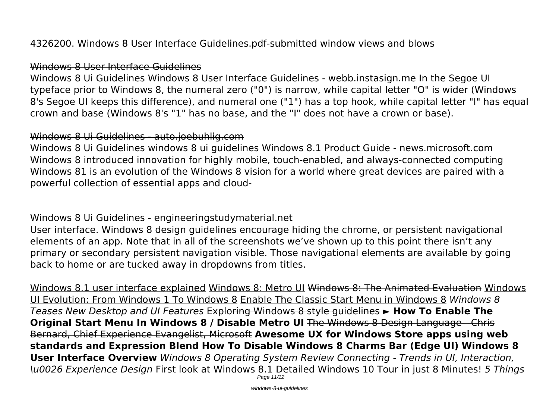4326200. Windows 8 User Interface Guidelines.pdf-submitted window views and blows

#### Windows 8 User Interface Guidelines

Windows 8 Ui Guidelines Windows 8 User Interface Guidelines - webb.instasign.me In the Segoe UI typeface prior to Windows 8, the numeral zero ("0") is narrow, while capital letter "O" is wider (Windows 8's Segoe UI keeps this difference), and numeral one ("1") has a top hook, while capital letter "I" has equal crown and base (Windows 8's "1" has no base, and the "I" does not have a crown or base).

#### Windows 8 Ui Guidelines - auto.joebuhlig.com

Windows 8 Ui Guidelines windows 8 ui guidelines Windows 8.1 Product Guide - news.microsoft.com Windows 8 introduced innovation for highly mobile, touch-enabled, and always-connected computing Windows 81 is an evolution of the Windows 8 vision for a world where great devices are paired with a powerful collection of essential apps and cloud-

#### Windows 8 Ui Guidelines - engineeringstudymaterial.net

User interface. Windows 8 design guidelines encourage hiding the chrome, or persistent navigational elements of an app. Note that in all of the screenshots we've shown up to this point there isn't any primary or secondary persistent navigation visible. Those navigational elements are available by going back to home or are tucked away in dropdowns from titles.

Windows 8.1 user interface explained Windows 8: Metro UI Windows 8: The Animated Evaluation Windows UI Evolution: From Windows 1 To Windows 8 Enable The Classic Start Menu in Windows 8 *Windows 8 Teases New Desktop and UI Features* Exploring Windows 8 style guidelines **► How To Enable The Original Start Menu In Windows 8 / Disable Metro UI** The Windows 8 Design Language - Chris Bernard, Chief Experience Evangelist, Microsoft **Awesome UX for Windows Store apps using web standards and Expression Blend How To Disable Windows 8 Charms Bar (Edge UI) Windows 8 User Interface Overview** *Windows 8 Operating System Review Connecting - Trends in UI, Interaction, \u0026 Experience Design* First look at Windows 8.1 Detailed Windows 10 Tour in just 8 Minutes! *5 Things* Page 11/12